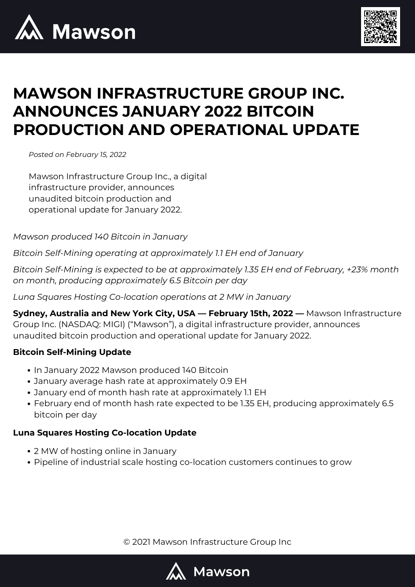



# **MAWSON INFRASTRUCTURE GROUP INC. ANNOUNCES JANUARY 2022 BITCOIN PRODUCTION AND OPERATIONAL UPDATE**

*Posted on February 15, 2022*

Mawson Infrastructure Group Inc., a digital infrastructure provider, announces unaudited bitcoin production and operational update for January 2022.

*Mawson produced 140 Bitcoin in January* 

*Bitcoin Self-Mining operating at approximately 1.1 EH end of January*

*Bitcoin Self-Mining is expected to be at approximately 1.35 EH end of February, +23% month on month, producing approximately 6.5 Bitcoin per day*

*Luna Squares Hosting Co-location operations at 2 MW in January*

**Sydney, Australia and New York City, USA — February 15th, 2022 —** Mawson Infrastructure Group Inc. (NASDAQ: MIGI) ("Mawson"), a digital infrastructure provider, announces unaudited bitcoin production and operational update for January 2022.

# **Bitcoin Self-Mining Update**

- In January 2022 Mawson produced 140 Bitcoin
- January average hash rate at approximately 0.9 EH
- January end of month hash rate at approximately 1.1 EH
- February end of month hash rate expected to be 1.35 EH, producing approximately 6.5 bitcoin per day

# **Luna Squares Hosting Co-location Update**

- 2 MW of hosting online in January
- Pipeline of industrial scale hosting co-location customers continues to grow

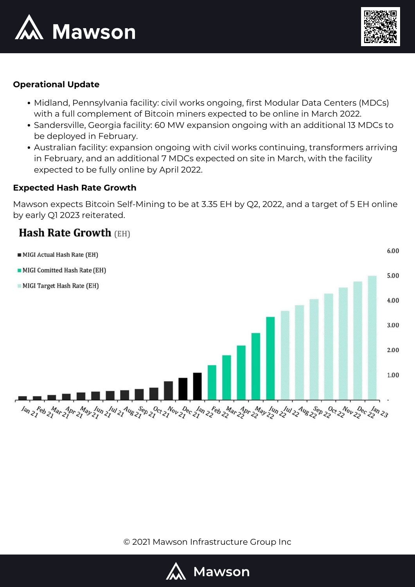



# **Operational Update**

- Midland, Pennsylvania facility: civil works ongoing, first Modular Data Centers (MDCs) with a full complement of Bitcoin miners expected to be online in March 2022.
- Sandersville, Georgia facility: 60 MW expansion ongoing with an additional 13 MDCs to be deployed in February.
- Australian facility: expansion ongoing with civil works continuing, transformers arriving in February, and an additional 7 MDCs expected on site in March, with the facility expected to be fully online by April 2022.

#### **Expected Hash Rate Growth**

Mawson expects Bitcoin Self-Mining to be at 3.35 EH by Q2, 2022, and a target of 5 EH online by early Q1 2023 reiterated.

# **Hash Rate Growth (EH)**



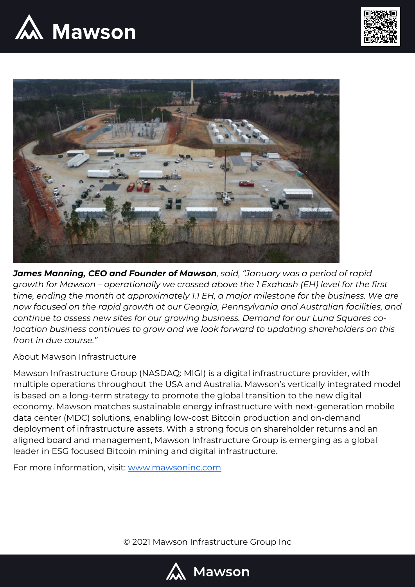# $\bigwedge$  Mawson





*James Manning, CEO and Founder of Mawson, said, "January was a period of rapid growth for Mawson – operationally we crossed above the 1 Exahash (EH) level for the first time, ending the month at approximately 1.1 EH, a major milestone for the business. We are now focused on the rapid growth at our Georgia, Pennsylvania and Australian facilities, and continue to assess new sites for our growing business. Demand for our Luna Squares colocation business continues to grow and we look forward to updating shareholders on this front in due course."*

About Mawson Infrastructure

Mawson Infrastructure Group (NASDAQ: MIGI) is a digital infrastructure provider, with multiple operations throughout the USA and Australia. Mawson's vertically integrated model is based on a long-term strategy to promote the global transition to the new digital economy. Mawson matches sustainable energy infrastructure with next-generation mobile data center (MDC) solutions, enabling low-cost Bitcoin production and on-demand deployment of infrastructure assets. With a strong focus on shareholder returns and an aligned board and management, Mawson Infrastructure Group is emerging as a global leader in ESG focused Bitcoin mining and digital infrastructure.

For more information, visit: [www.mawsoninc.com](https://www.mawsoninc.com)

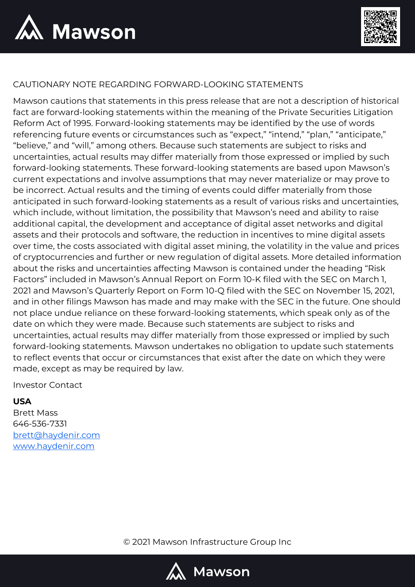



# CAUTIONARY NOTE REGARDING FORWARD-LOOKING STATEMENTS

Mawson cautions that statements in this press release that are not a description of historical fact are forward-looking statements within the meaning of the Private Securities Litigation Reform Act of 1995. Forward-looking statements may be identified by the use of words referencing future events or circumstances such as "expect," "intend," "plan," "anticipate," "believe," and "will," among others. Because such statements are subject to risks and uncertainties, actual results may differ materially from those expressed or implied by such forward-looking statements. These forward-looking statements are based upon Mawson's current expectations and involve assumptions that may never materialize or may prove to be incorrect. Actual results and the timing of events could differ materially from those anticipated in such forward-looking statements as a result of various risks and uncertainties, which include, without limitation, the possibility that Mawson's need and ability to raise additional capital, the development and acceptance of digital asset networks and digital assets and their protocols and software, the reduction in incentives to mine digital assets over time, the costs associated with digital asset mining, the volatility in the value and prices of cryptocurrencies and further or new regulation of digital assets. More detailed information about the risks and uncertainties affecting Mawson is contained under the heading "Risk Factors" included in Mawson's Annual Report on Form 10-K filed with the SEC on March 1, 2021 and Mawson's Quarterly Report on Form 10-Q filed with the SEC on November 15, 2021, and in other filings Mawson has made and may make with the SEC in the future. One should not place undue reliance on these forward-looking statements, which speak only as of the date on which they were made. Because such statements are subject to risks and uncertainties, actual results may differ materially from those expressed or implied by such forward-looking statements. Mawson undertakes no obligation to update such statements to reflect events that occur or circumstances that exist after the date on which they were made, except as may be required by law.

Investor Contact

# **USA**

Brett Mass 646-536-7331 [brett@haydenir.com](mailto:brett@haydenir.com) [www.haydenir.com](https://cts.businesswire.com/ct/CT?id=smartlink&url=http%3A%2F%2Fwww.haydenir.com&esheet=52442022&newsitemid=20210608005720&lan=en-US&anchor=www.haydenir.com&index=1&md5=add50d679a4ebf6b21412cff8f9ad6b6)